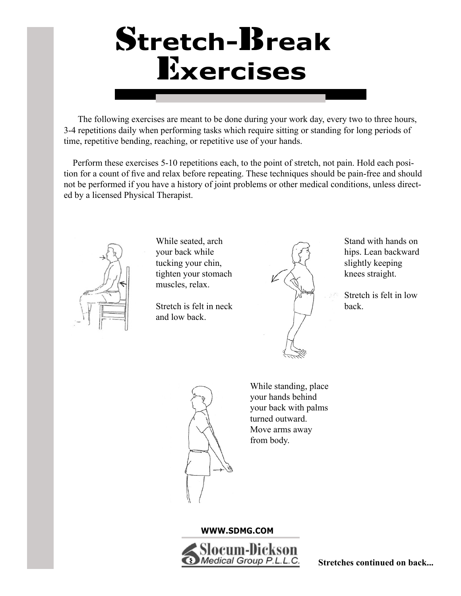# S**tretch-**B**reak** E**xercises**

 The following exercises are meant to be done during your work day, every two to three hours, 3-4 repetitions daily when performing tasks which require sitting or standing for long periods of time, repetitive bending, reaching, or repetitive use of your hands.

 Perform these exercises 5-10 repetitions each, to the point of stretch, not pain. Hold each position for a count of five and relax before repeating. These techniques should be pain-free and should not be performed if you have a history of joint problems or other medical conditions, unless directed by a licensed Physical Therapist.



While seated, arch your back while tucking your chin, tighten your stomach muscles, relax.

Stretch is felt in neck and low back.



Stand with hands on hips. Lean backward slightly keeping knees straight.

Stretch is felt in low back.



While standing, place your hands behind your back with palms turned outward. Move arms away from body.

#### **WWW.SDMG.COM**



**Stretches continued on back...**